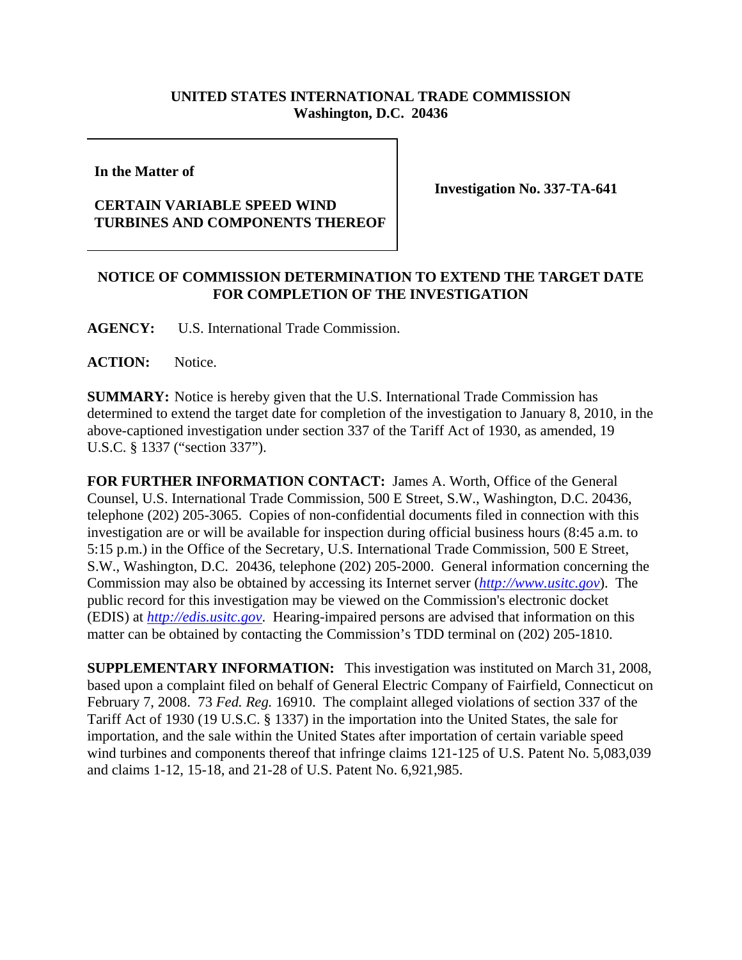## **UNITED STATES INTERNATIONAL TRADE COMMISSION Washington, D.C. 20436**

**In the Matter of** 

## **CERTAIN VARIABLE SPEED WIND TURBINES AND COMPONENTS THEREOF**

**Investigation No. 337-TA-641**

## **NOTICE OF COMMISSION DETERMINATION TO EXTEND THE TARGET DATE FOR COMPLETION OF THE INVESTIGATION**

**AGENCY:** U.S. International Trade Commission.

**ACTION:** Notice.

**SUMMARY:** Notice is hereby given that the U.S. International Trade Commission has determined to extend the target date for completion of the investigation to January 8, 2010, in the above-captioned investigation under section 337 of the Tariff Act of 1930, as amended, 19 U.S.C. § 1337 ("section 337").

**FOR FURTHER INFORMATION CONTACT:** James A. Worth, Office of the General Counsel, U.S. International Trade Commission, 500 E Street, S.W., Washington, D.C. 20436, telephone (202) 205-3065. Copies of non-confidential documents filed in connection with this investigation are or will be available for inspection during official business hours (8:45 a.m. to 5:15 p.m.) in the Office of the Secretary, U.S. International Trade Commission, 500 E Street, S.W., Washington, D.C. 20436, telephone (202) 205-2000. General information concerning the Commission may also be obtained by accessing its Internet server (*http://www.usitc.gov*). The public record for this investigation may be viewed on the Commission's electronic docket (EDIS) at *http://edis.usitc.gov*. Hearing-impaired persons are advised that information on this matter can be obtained by contacting the Commission's TDD terminal on (202) 205-1810.

**SUPPLEMENTARY INFORMATION:** This investigation was instituted on March 31, 2008, based upon a complaint filed on behalf of General Electric Company of Fairfield, Connecticut on February 7, 2008. 73 *Fed. Reg.* 16910. The complaint alleged violations of section 337 of the Tariff Act of 1930 (19 U.S.C. § 1337) in the importation into the United States, the sale for importation, and the sale within the United States after importation of certain variable speed wind turbines and components thereof that infringe claims 121-125 of U.S. Patent No. 5,083,039 and claims 1-12, 15-18, and 21-28 of U.S. Patent No. 6,921,985.